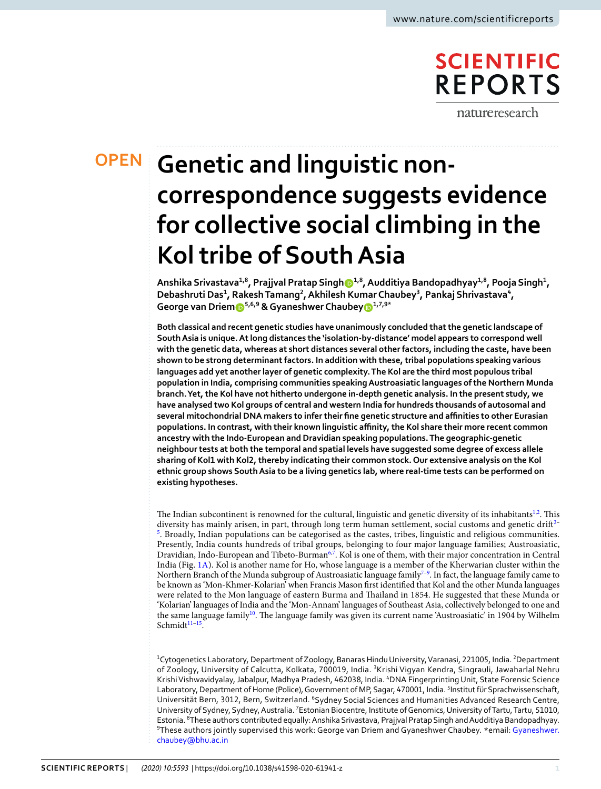# **SCIENTIFIC REPORTS**

natureresearch

# **Genetic and linguistic non-OPENcorrespondence suggests evidence for collective social climbing in the Kol tribe of South Asia**

**Anshika Srivastava1,8, Prajjval Pratap Sing[h](http://orcid.org/0000-0002-8081-5634) 1,8, Audditiya Bandopadhyay 1,8, Pooja Singh<sup>1</sup> ,**  Debashruti Das<sup>1</sup>, Rakesh Tamang<sup>2</sup>, Akhilesh Kumar Chaubey<sup>3</sup>, Pankaj Shrivastava<sup>4</sup>, **George van Driem5,6,9 & Gyaneshwer Chaubey 1,7,9\***

**Both classical and recent genetic studies have unanimously concluded that the genetic landscape of South Asia is unique. At long distances the 'isolation-by-distance' model appears to correspond well with the genetic data, whereas at short distances several other factors, including the caste, have been shown to be strong determinant factors. In addition with these, tribal populations speaking various languages add yet another layer of genetic complexity. The Kol are the third most populous tribal population in India, comprising communities speaking Austroasiatic languages of the Northern Munda branch. Yet, the Kol have not hitherto undergone in-depth genetic analysis. In the present study, we have analysed two Kol groups of central and western India for hundreds thousands of autosomal and several mitochondrial DNA makers to infer their fine genetic structure and affinities to other Eurasian populations. In contrast, with their known linguistic affinity, the Kol share their more recent common ancestry with the Indo-European and Dravidian speaking populations. The geographic-genetic neighbour tests at both the temporal and spatial levels have suggested some degree of excess allele sharing of Kol1 with Kol2, thereby indicating their common stock. Our extensive analysis on the Kol ethnic group shows South Asia to be a living genetics lab, where real-time tests can be performed on existing hypotheses.**

The Indian subcontinent is renowned for the cultural, linguistic and genetic diversity of its inhabitants<sup>[1,](#page-5-0)[2](#page-5-1)</sup>. This diversity has mainly arisen, in part, through long term human settlement, social customs and genetic drift<sup>[3–](#page-5-2)</sup> [5](#page-5-3) . Broadly, Indian populations can be categorised as the castes, tribes, linguistic and religious communities. Presently, India counts hundreds of tribal groups, belonging to four major language families; Austroasiatic, Dravidian, Indo-European and Tibeto-Burman<sup>[6](#page-5-4)[,7](#page-5-5)</sup>. Kol is one of them, with their major concentration in Central India (Fig. [1A](#page-1-0)). Kol is another name for Ho, whose language is a member of the Kherwarian cluster within the Northern Branch of the Munda subgroup of Austroasiatic language family $^{7-9}$  $^{7-9}$  $^{7-9}$ . In fact, the language family came to be known as 'Mon-Khmer-Kolarian' when Francis Mason first identified that Kol and the other Munda languages were related to the Mon language of eastern Burma and Thailand in 1854. He suggested that these Munda or 'Kolarian' languages of India and the 'Mon-Annam' languages of Southeast Asia, collectively belonged to one and the same language family<sup>[10](#page-5-7)</sup>. The language family was given its current name 'Austroasiatic' in 1904 by Wilhelm  $Schmidt^{11-15}$  $Schmidt^{11-15}$  $Schmidt^{11-15}$ .

<sup>1</sup>Cytogenetics Laboratory, Department of Zoology, Banaras Hindu University, Varanasi, 221005, India. <sup>2</sup>Department of Zoology, University of Calcutta, Kolkata, 700019, India. <sup>3</sup>Krishi Vigyan Kendra, Singrauli, Jawaharlal Nehru Krishi Vishwavidyalay, Jabalpur, Madhya Pradesh, 462038, India. <sup>4</sup>DNA Fingerprinting Unit, State Forensic Science Laboratory, Department of Home (Police), Government of MP, Sagar, 470001, India. <sup>5</sup>Institut für Sprachwissenschaft, Universität Bern, 3012, Bern, Switzerland. <sup>6</sup>Sydney Social Sciences and Humanities Advanced Research Centre, University of Sydney, Sydney, Australia. <sup>7</sup>Estonian Biocentre, Institute of Genomics, University of Tartu, Tartu, 51010, Estonia. <sup>8</sup>These authors contributed equally: Anshika Srivastava, Prajjval Pratap Singh and Audditiya Bandopadhyay. <sup>9</sup>These authors jointly supervised this work: George van Driem and Gyaneshwer Chaubey. \*email: [Gyaneshwer.](mailto:Gyaneshwer.chaubey@bhu.ac.in) [chaubey@bhu.ac.in](mailto:Gyaneshwer.chaubey@bhu.ac.in)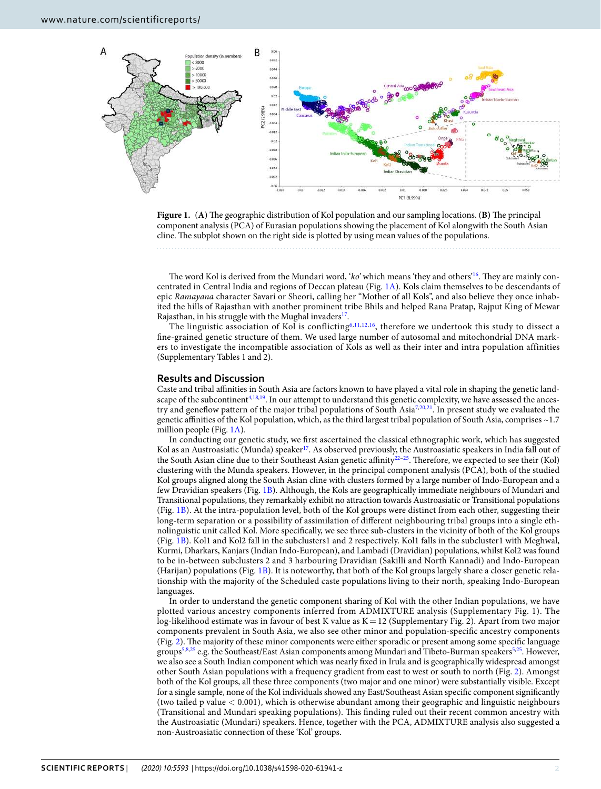

<span id="page-1-0"></span>**Figure 1.** (**A**) The geographic distribution of Kol population and our sampling locations. (**B)** The principal component analysis (PCA) of Eurasian populations showing the placement of Kol alongwith the South Asian cline. The subplot shown on the right side is plotted by using mean values of the populations.

The word Kol is derived from the Mundari word, 'ko' which means 'they and others'[16](#page-5-10). They are mainly concentrated in Central India and regions of Deccan plateau (Fig. [1A](#page-1-0)). Kols claim themselves to be descendants of epic Ramayana character Savari or Sheori, calling her "Mother of all Kols", and also believe they once inhabited the hills of Rajasthan with another prominent tribe Bhils and helped Rana Pratap, Rajput King of Mewar Rajasthan, in his struggle with the Mughal invaders<sup>[17](#page-5-11)</sup>.

The linguistic association of Kol is conflicting<sup>[6](#page-5-4),[11](#page-5-8)[,12](#page-5-12),[16](#page-5-10)</sup>, therefore we undertook this study to dissect a fine-grained genetic structure of them. We used large number of autosomal and mitochondrial DNA markers to investigate the incompatible association of Kols as well as their inter and intra population affinities (Supplementary Tables 1 and 2).

# **Results and Discussion**

Caste and tribal affinities in South Asia are factors known to have played a vital role in shaping the genetic land-scape of the subcontinent<sup>[4](#page-5-13)[,18](#page-5-14)[,19](#page-5-15)</sup>. In our attempt to understand this genetic complexity, we have assessed the ances-try and geneflow pattern of the major tribal populations of South Asia<sup>[7](#page-5-5),[20](#page-5-16),[21](#page-5-17)</sup>. In present study we evaluated the genetic affinities of the Kol population, which, as the third largest tribal population of South Asia, comprises ~1.7 million people (Fig. [1A](#page-1-0)).

In conducting our genetic study, we first ascertained the classical ethnographic work, which has suggested Kol as an Austroasiatic (Munda) speaker<sup>[17](#page-5-11)</sup>. As observed previously, the Austroasiatic speakers in India fall out of the South Asian cline due to their Southeast Asian genetic affinity<sup>[22–](#page-5-18)[25](#page-5-19)</sup>. Therefore, we expected to see their (Kol) clustering with the Munda speakers. However, in the principal component analysis (PCA), both of the studied Kol groups aligned along the South Asian cline with clusters formed by a large number of Indo-European and a few Dravidian speakers (Fig. [1B\)](#page-1-0). Although, the Kols are geographically immediate neighbours of Mundari and Transitional populations, they remarkably exhibit no attraction towards Austroasiatic or Transitional populations (Fig. [1B](#page-1-0)). At the intra-population level, both of the Kol groups were distinct from each other, suggesting their long-term separation or a possibility of assimilation of different neighbouring tribal groups into a single ethnolinguistic unit called Kol. More specifically, we see three sub-clusters in the vicinity of both of the Kol groups (Fig. [1B](#page-1-0)). Kol1 and Kol2 fall in the subclusters1 and 2 respectively. Kol1 falls in the subcluster1 with Meghwal, Kurmi, Dharkars, Kanjars (Indian Indo-European), and Lambadi (Dravidian) populations, whilst Kol2 was found to be in-between subclusters 2 and 3 harbouring Dravidian (Sakilli and North Kannadi) and Indo-European (Harijan) populations (Fig. [1B](#page-1-0)). It is noteworthy, that both of the Kol groups largely share a closer genetic relationship with the majority of the Scheduled caste populations living to their north, speaking Indo-European languages.

In order to understand the genetic component sharing of Kol with the other Indian populations, we have plotted various ancestry components inferred from ADMIXTURE analysis (Supplementary Fig. 1). The log-likelihood estimate was in favour of best K value as  $K = 12$  (Supplementary Fig. 2). Apart from two major components prevalent in South Asia, we also see other minor and population-specific ancestry components (Fig. [2](#page-2-0)). The majority of these minor components were either sporadic or present among some specific language groups<sup>[5](#page-5-3)[,8](#page-5-20)[,25](#page-5-19)</sup> e.g. the Southeast/East Asian components among Mundari and Tibeto-Burman speakers<sup>5,[25](#page-5-19)</sup>. However, we also see a South Indian component which was nearly fixed in Irula and is geographically widespread amongst other South Asian populations with a frequency gradient from east to west or south to north (Fig. [2](#page-2-0)). Amongst both of the Kol groups, all these three components (two major and one minor) were substantially visible. Except for a single sample, none of the Kol individuals showed any East/Southeast Asian specific component significantly (two tailed p value < 0.001), which is otherwise abundant among their geographic and linguistic neighbours (Transitional and Mundari speaking populations). This finding ruled out their recent common ancestry with the Austroasiatic (Mundari) speakers. Hence, together with the PCA, ADMIXTURE analysis also suggested a non-Austroasiatic connection of these 'Kol' groups.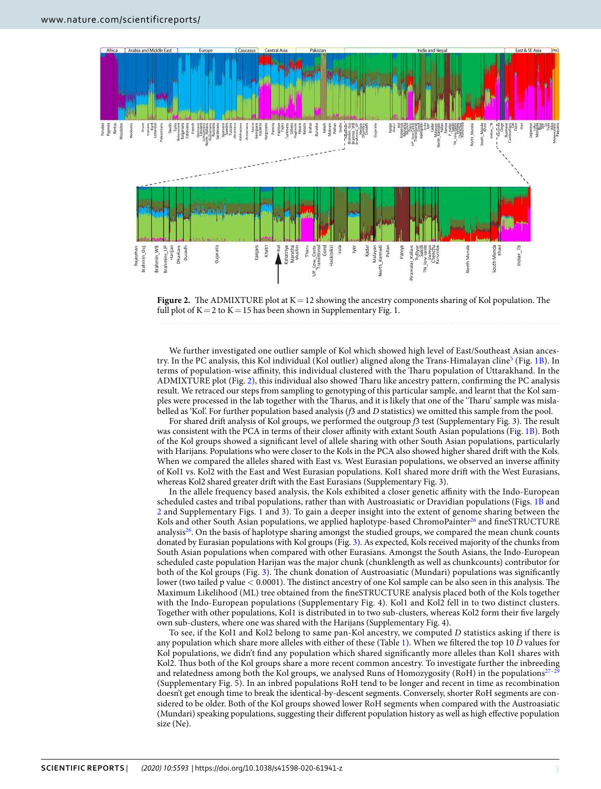

<span id="page-2-0"></span>**Figure 2.** The ADMIXTURE plot at  $K = 12$  showing the ancestry components sharing of Kol population. The full plot of  $K = 2$  to  $K = 15$  has been shown in Supplementary Fig. 1.

We further investigated one outlier sample of Kol which showed high level of East/Southeast Asian ances-try. In the PC analysis, this Kol individual (Kol outlier) aligned along the Trans-Himalayan cline<sup>[5](#page-5-3)</sup> (Fig. [1B](#page-1-0)). In terms of population-wise affinity, this individual clustered with the Tharu population of Uttarakhand. In the ADMIXTURE plot (Fig. [2](#page-2-0)), this individual also showed Tharu like ancestry pattern, confirming the PC analysis result. We retraced our steps from sampling to genotyping of this particular sample, and learnt that the Kol samples were processed in the lab together with the Tharus, and it is likely that one of the 'Tharu' sample was mislabelled as 'Kol'. For further population based analysis (f3 and D statistics) we omitted this sample from the pool.

For shared drift analysis of Kol groups, we performed the outgroup f3 test (Supplementary Fig. 3). The result was consistent with the PCA in terms of their closer affinity with extant South Asian populations (Fig. [1B\)](#page-1-0). Both of the Kol groups showed a significant level of allele sharing with other South Asian populations, particularly with Harijans. Populations who were closer to the Kols in the PCA also showed higher shared drift with the Kols. When we compared the alleles shared with East vs. West Eurasian populations, we observed an inverse affinity of Kol1 vs. Kol2 with the East and West Eurasian populations. Kol1 shared more drift with the West Eurasians, whereas Kol2 shared greater drift with the East Eurasians (Supplementary Fig. 3).

In the allele frequency based analysis, the Kols exhibited a closer genetic affinity with the Indo-European scheduled castes and tribal populations, rather than with Austroasiatic or Dravidian populations (Figs. [1B](#page-1-0) and [2](#page-2-0) and Supplementary Figs. 1 and 3). To gain a deeper insight into the extent of genome sharing between the Kols and other South Asian populations, we applied haplotype-based ChromoPainter<sup>[26](#page-5-21)</sup> and fineSTRUCTURE analysis<sup>[26](#page-5-21)</sup>. On the basis of haplotype sharing amongst the studied groups, we compared the mean chunk counts donated by Eurasian populations with Kol groups (Fig. [3\)](#page-3-0). As expected, Kols received majority of the chunks from South Asian populations when compared with other Eurasians. Amongst the South Asians, the Indo-European scheduled caste population Harijan was the major chunk (chunklength as well as chunkcounts) contributor for both of the Kol groups (Fig. [3](#page-3-0)). The chunk donation of Austroasiatic (Mundari) populations was significantly lower (two tailed p value < 0.0001). The distinct ancestry of one Kol sample can be also seen in this analysis. The Maximum Likelihood (ML) tree obtained from the fineSTRUCTURE analysis placed both of the Kols together with the Indo-European populations (Supplementary Fig. 4). Kol1 and Kol2 fell in to two distinct clusters. Together with other populations, Kol1 is distributed in to two sub-clusters, whereas Kol2 form their five largely own sub-clusters, where one was shared with the Harijans (Supplementary Fig. 4).

To see, if the Kol1 and Kol2 belong to same pan-Kol ancestry, we computed D statistics asking if there is any population which share more alleles with either of these (Table [1](#page-3-1)). When we filtered the top 10 D values for Kol populations, we didn't find any population which shared significantly more alleles than Kol1 shares with Kol2. Thus both of the Kol groups share a more recent common ancestry. To investigate further the inbreeding and relatedness among both the Kol groups, we analysed Runs of Homozygosity (RoH) in the populations<sup>[27–](#page-5-22)2</sup> (Supplementary Fig. 5). In an inbred populations RoH tend to be longer and recent in time as recombination doesn't get enough time to break the identical-by-descent segments. Conversely, shorter RoH segments are considered to be older. Both of the Kol groups showed lower RoH segments when compared with the Austroasiatic (Mundari) speaking populations, suggesting their different population history as well as high effective population size (Ne).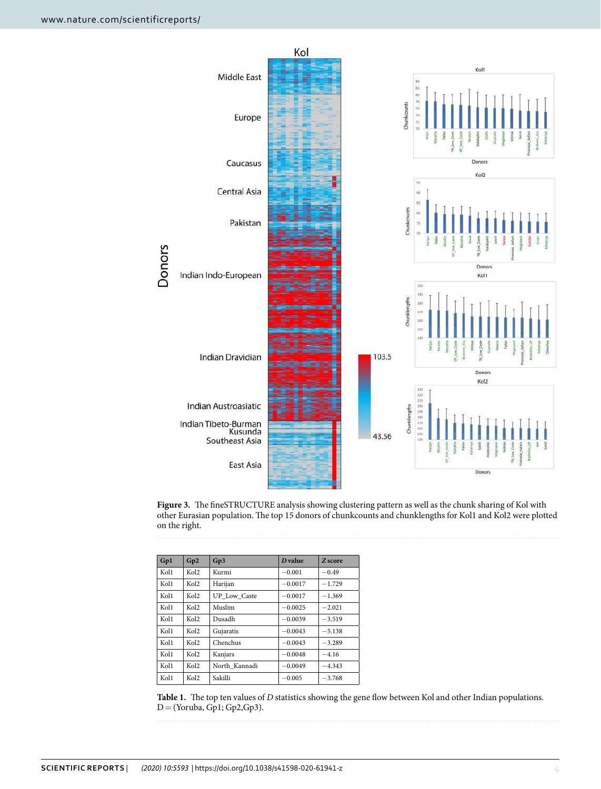

<span id="page-3-0"></span>**Figure 3.** The fineSTRUCTURE analysis showing clustering pattern as well as the chunk sharing of Kol with other Eurasian population. The top 15 donors of chunkcounts and chunklengths for Kol1 and Kol2 were plotted on the right.

<span id="page-3-1"></span>

| Gp1  | Gp <sub>2</sub>  | Gp3           | D value   | Z score  |
|------|------------------|---------------|-----------|----------|
| Kol1 | Kol <sub>2</sub> | Kurmi         | $-0.001$  | $-0.49$  |
| Kol1 | Kol <sub>2</sub> | Harijan       | $-0.0017$ | $-1.729$ |
| Kol1 | Kol2             | UP Low Caste  | $-0.0017$ | $-1.369$ |
| Kol1 | Kol <sub>2</sub> | Muslim        | $-0.0025$ | $-2.021$ |
| Kol1 | Kol <sub>2</sub> | Dusadh        | $-0.0039$ | $-3.519$ |
| Kol1 | Kol <sub>2</sub> | Gujaratis     | $-0.0043$ | $-5.138$ |
| Kol1 | Kol <sub>2</sub> | Chenchus      | $-0.0043$ | $-3.289$ |
| Kol1 | Kol2             | Kanjars       | $-0.0048$ | $-4.16$  |
| Kol1 | Kol <sub>2</sub> | North Kannadi | $-0.0049$ | $-4.343$ |
| Kol1 | Kol <sub>2</sub> | Sakilli       | $-0.005$  | $-3.768$ |

**Table 1.** The top ten values of D statistics showing the gene flow between Kol and other Indian populations.  $D = (Yoruba, Gp1; Gp2, Gp3).$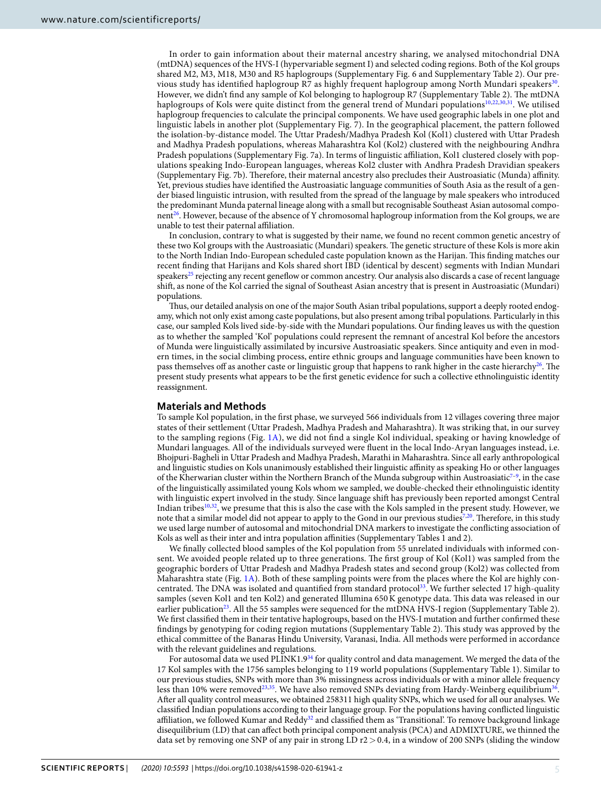In order to gain information about their maternal ancestry sharing, we analysed mitochondrial DNA (mtDNA) sequences of the HVS-I (hypervariable segment I) and selected coding regions. Both of the Kol groups shared M2, M3, M18, M30 and R5 haplogroups (Supplementary Fig. 6 and Supplementary Table 2). Our previous study has identified haplogroup R7 as highly frequent haplogroup among North Mundari speakers $^{\rm 30}$  $^{\rm 30}$  $^{\rm 30}$ . However, we didn't find any sample of Kol belonging to haplogroup R7 (Supplementary Table 2). The mtDNA haplogroups of Kols were quite distinct from the general trend of Mundari populations<sup>[10,](#page-5-7)[22,](#page-5-18)[30](#page-5-24)[,31](#page-5-25)</sup>. We utilised haplogroup frequencies to calculate the principal components. We have used geographic labels in one plot and linguistic labels in another plot (Supplementary Fig. 7). In the geographical placement, the pattern followed the isolation-by-distance model. The Uttar Pradesh/Madhya Pradesh Kol (Kol1) clustered with Uttar Pradesh and Madhya Pradesh populations, whereas Maharashtra Kol (Kol2) clustered with the neighbouring Andhra Pradesh populations (Supplementary Fig. 7a). In terms of linguistic affiliation, Kol1 clustered closely with populations speaking Indo-European languages, whereas Kol2 cluster with Andhra Pradesh Dravidian speakers (Supplementary Fig. 7b). Therefore, their maternal ancestry also precludes their Austroasiatic (Munda) affinity. Yet, previous studies have identified the Austroasiatic language communities of South Asia as the result of a gender biased linguistic intrusion, with resulted from the spread of the language by male speakers who introduced the predominant Munda paternal lineage along with a small but recognisable Southeast Asian autosomal compo-nent<sup>[26](#page-5-21)</sup>. However, because of the absence of Y chromosomal haplogroup information from the Kol groups, we are unable to test their paternal affiliation.

In conclusion, contrary to what is suggested by their name, we found no recent common genetic ancestry of these two Kol groups with the Austroasiatic (Mundari) speakers. The genetic structure of these Kols is more akin to the North Indian Indo-European scheduled caste population known as the Harijan. This finding matches our recent finding that Harijans and Kols shared short IBD (identical by descent) segments with Indian Mundari speakers<sup>[25](#page-5-19)</sup> rejecting any recent geneflow or common ancestry. Our analysis also discards a case of recent language shift, as none of the Kol carried the signal of Southeast Asian ancestry that is present in Austroasiatic (Mundari) populations.

Thus, our detailed analysis on one of the major South Asian tribal populations, support a deeply rooted endogamy, which not only exist among caste populations, but also present among tribal populations. Particularly in this case, our sampled Kols lived side-by-side with the Mundari populations. Our finding leaves us with the question as to whether the sampled 'Kol' populations could represent the remnant of ancestral Kol before the ancestors of Munda were linguistically assimilated by incursive Austroasiatic speakers. Since antiquity and even in modern times, in the social climbing process, entire ethnic groups and language communities have been known to pass themselves off as another caste or linguistic group that happens to rank higher in the caste hierarchy<sup>[26](#page-5-21)</sup>. The present study presents what appears to be the first genetic evidence for such a collective ethnolinguistic identity reassignment.

### **Materials and Methods**

To sample Kol population, in the first phase, we surveyed 566 individuals from 12 villages covering three major states of their settlement (Uttar Pradesh, Madhya Pradesh and Maharashtra). It was striking that, in our survey to the sampling regions (Fig. [1A](#page-1-0)), we did not find a single Kol individual, speaking or having knowledge of Mundari languages. All of the individuals surveyed were fluent in the local Indo-Aryan languages instead, i.e. Bhojpuri-Bagheli in Uttar Pradesh and Madhya Pradesh, Marathi in Maharashtra. Since all early anthropological and linguistic studies on Kols unanimously established their linguistic affinity as speaking Ho or other languages of the Kherwarian cluster within the Northern Branch of the Munda subgroup within Austroasiatic<sup>[7](#page-5-5)-9</sup>, in the case of the linguistically assimilated young Kols whom we sampled, we double-checked their ethnolinguistic identity with linguistic expert involved in the study. Since language shift has previously been reported amongst Central Indian tribes[10](#page-5-7)[,32](#page-5-26), we presume that this is also the case with the Kols sampled in the present study. However, we note that a similar model did not appear to apply to the Gond in our previous studies[7](#page-5-5),[20](#page-5-16). Therefore, in this study we used large number of autosomal and mitochondrial DNA markers to investigate the conflicting association of Kols as well as their inter and intra population affinities (Supplementary Tables 1 and 2).

We finally collected blood samples of the Kol population from 55 unrelated individuals with informed consent. We avoided people related up to three generations. The first group of Kol (Kol1) was sampled from the geographic borders of Uttar Pradesh and Madhya Pradesh states and second group (Kol2) was collected from Maharashtra state (Fig. [1A](#page-1-0)). Both of these sampling points were from the places where the Kol are highly con-centrated. The DNA was isolated and quantified from standard protocol<sup>[33](#page-5-27)</sup>. We further selected 17 high-quality samples (seven Kol1 and ten Kol2) and generated Illumina 650 K genotype data. This data was released in our earlier publication<sup>[23](#page-5-28)</sup>. All the 55 samples were sequenced for the mtDNA HVS-I region (Supplementary Table 2). We first classified them in their tentative haplogroups, based on the HVS-I mutation and further confirmed these findings by genotyping for coding region mutations (Supplementary Table 2). This study was approved by the ethical committee of the Banaras Hindu University, Varanasi, India. All methods were performed in accordance with the relevant guidelines and regulations.

For autosomal data we used PLINK1.9<sup>[34](#page-5-29)</sup> for quality control and data management. We merged the data of the 17 Kol samples with the 1756 samples belonging to 119 world populations (Supplementary Table 1). Similar to our previous studies, SNPs with more than 3% missingness across individuals or with a minor allele frequency less than 10% were removed $^{23,35}$  $^{23,35}$  $^{23,35}$  $^{23,35}$  $^{23,35}$ . We have also removed SNPs deviating from Hardy-Weinberg equilibrium $^{36}$  $^{36}$  $^{36}$ . After all quality control measures, we obtained 258311 high quality SNPs, which we used for all our analyses. We classified Indian populations according to their language group. For the populations having conflicted linguistic affiliation, we followed Kumar and Reddy<sup>[32](#page-5-26)</sup> and classified them as 'Transitional'. To remove background linkage disequilibrium (LD) that can affect both principal component analysis (PCA) and ADMIXTURE, we thinned the data set by removing one SNP of any pair in strong LD  $r2 > 0.4$ , in a window of 200 SNPs (sliding the window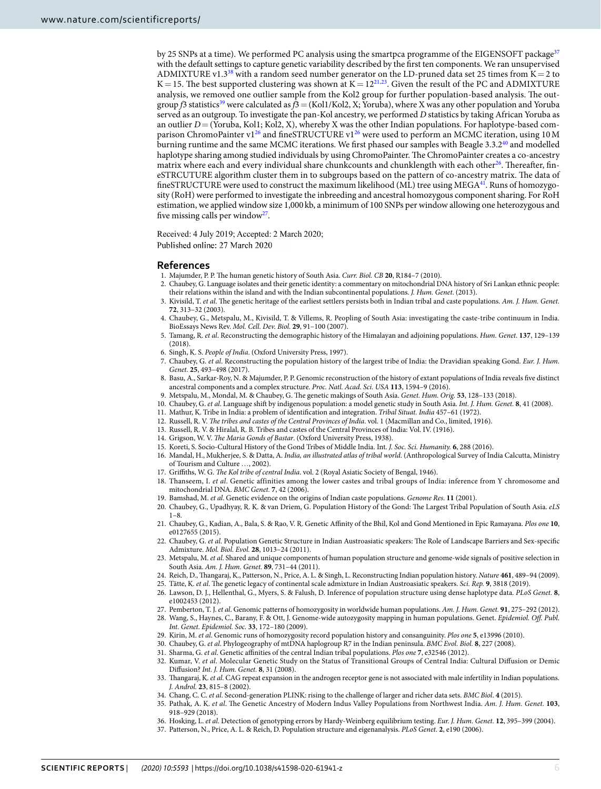by 25 SNPs at a time). We performed PC analysis using the smartpca programme of the EIGENSOFT package<sup>[37](#page-5-32)</sup> with the default settings to capture genetic variability described by the first ten components. We ran unsupervised ADMIXTURE v1.3<sup>[38](#page-6-0)</sup> with a random seed number generator on the LD-pruned data set 25 times from  $K = 2$  to  $K = 15$ . The best supported clustering was shown at  $K = 12^{21,23}$  $K = 12^{21,23}$  $K = 12^{21,23}$  $K = 12^{21,23}$  $K = 12^{21,23}$ . Given the result of the PC and ADMIXTURE analysis, we removed one outlier sample from the Kol2 group for further population-based analysis. The outgroup  $f_3$  statistics<sup>[39](#page-6-1)</sup> were calculated as  $f_3 = (K_0/1/K_0/2, X; Y_0/1)$ , where X was any other population and Yoruba served as an outgroup. To investigate the pan-Kol ancestry, we performed D statistics by taking African Yoruba as an outlier  $D = (Yoruba, Koll, Kol2, X)$ , whereby X was the other Indian populations. For haplotype-based com-parison ChromoPainter v1<sup>[26](#page-5-21)</sup> and fineSTRUCTURE v1<sup>26</sup> were used to perform an MCMC iteration, using 10 M burning runtime and the same MCMC iterations. We first phased our samples with Beagle 3.3.2[40](#page-6-2) and modelled haplotype sharing among studied individuals by using ChromoPainter. The ChromoPainter creates a co-ancestry matrix where each and every individual share chunkcounts and chunklength with each other<sup>[26](#page-5-21)</sup>. Thereafter, fineSTRCUTURE algorithm cluster them in to subgroups based on the pattern of co-ancestry matrix. The data of fineSTRUCTURE were used to construct the maximum likelihood (ML) tree using MEGA[41](#page-6-3). Runs of homozygosity (RoH) were performed to investigate the inbreeding and ancestral homozygous component sharing. For RoH estimation, we applied window size 1,000 kb, a minimum of 100 SNPs per window allowing one heterozygous and five missing calls per window<sup>[27](#page-5-22)</sup>.

Received: 4 July 2019; Accepted: 2 March 2020; Published online: 27 March 2020

### **References**

- <span id="page-5-0"></span>1. Majumder, P. P. The human genetic history of South Asia. Curr. Biol. CB **20**, R184–7 (2010).
- <span id="page-5-1"></span> 2. Chaubey, G. Language isolates and their genetic identity: a commentary on mitochondrial DNA history of Sri Lankan ethnic people: their relations within the island and with the Indian subcontinental populations. J. Hum. Genet. (2013).
- <span id="page-5-2"></span>3. Kivisild, T. et al. The genetic heritage of the earliest settlers persists both in Indian tribal and caste populations. Am. J. Hum. Genet. **72**, 313–32 (2003).
- <span id="page-5-13"></span> 4. Chaubey, G., Metspalu, M., Kivisild, T. & Villems, R. Peopling of South Asia: investigating the caste-tribe continuum in India. BioEssays News Rev. Mol. Cell. Dev. Biol. **29**, 91–100 (2007).
- <span id="page-5-3"></span> 5. Tamang, R. et al. Reconstructing the demographic history of the Himalayan and adjoining populations. Hum. Genet. **137**, 129–139 (2018).
- <span id="page-5-4"></span>6. Singh, K. S. People of India. (Oxford University Press, 1997).
- <span id="page-5-5"></span> 7. Chaubey, G. et al. Reconstructing the population history of the largest tribe of India: the Dravidian speaking Gond. Eur. J. Hum. Genet. **25**, 493–498 (2017).
- <span id="page-5-20"></span> 8. Basu, A., Sarkar-Roy, N. & Majumder, P. P. Genomic reconstruction of the history of extant populations of India reveals five distinct ancestral components and a complex structure. Proc. Natl. Acad. Sci. USA **113**, 1594–9 (2016).
- <span id="page-5-6"></span>9. Metspalu, M., Mondal, M. & Chaubey, G. The genetic makings of South Asia. Genet. Hum. Orig. **53**, 128–133 (2018).
- <span id="page-5-7"></span>10. Chaubey, G. et al. Language shift by indigenous population: a model genetic study in South Asia. Int. J. Hum. Genet. **8**, 41 (2008).
- <span id="page-5-8"></span>11. Mathur, K. Tribe in India: a problem of identification and integration. Tribal Situat. India 457–61 (1972).
- <span id="page-5-12"></span>12. Russell, R. V. The tribes and castes of the Central Provinces of India. vol. 1 (Macmillan and Co., limited, 1916).
- 13. Russell, R. V. & Hiralal, R. B. Tribes and castes of the Central Provinces of India: Vol. IV. (1916).
- 14. Grigson, W. V. The Maria Gonds of Bastar. (Oxford University Press, 1938).
- <span id="page-5-9"></span>15. Koreti, S. Socio-Cultural History of the Gond Tribes of Middle India. Int. J. Soc. Sci. Humanity. **6**, 288 (2016).
- <span id="page-5-10"></span> 16. Mandal, H., Mukherjee, S. & Datta, A. India, an illustrated atlas of tribal world. (Anthropological Survey of India Calcutta, Ministry of Tourism and Culture …, 2002).
- <span id="page-5-11"></span>17. Griffiths, W. G. The Kol tribe of central India. vol. 2 (Royal Asiatic Society of Bengal, 1946).
- <span id="page-5-14"></span>18. Thanseem, I. et al. Genetic affinities among the lower castes and tribal groups of India: inference from Y chromosome and mitochondrial DNA. BMC Genet. **7**, 42 (2006).
- <span id="page-5-15"></span>19. Bamshad, M. et al. Genetic evidence on the origins of Indian caste populations. Genome Res. **11** (2001).
- <span id="page-5-16"></span> 20. Chaubey, G., Upadhyay, R. K. & van Driem, G. Population History of the Gond: The Largest Tribal Population of South Asia. eLS 1–8.
- <span id="page-5-17"></span> 21. Chaubey, G., Kadian, A., Bala, S. & Rao, V. R. Genetic Affinity of the Bhil, Kol and Gond Mentioned in Epic Ramayana. Plos one **10**, e0127655 (2015).
- <span id="page-5-18"></span>22. Chaubey, G. et al. Population Genetic Structure in Indian Austroasiatic speakers: The Role of Landscape Barriers and Sex-specific Admixture. Mol. Biol. Evol. **28**, 1013–24 (2011).
- <span id="page-5-28"></span>23. Metspalu, M. et al. Shared and unique components of human population structure and genome-wide signals of positive selection in South Asia. Am. J. Hum. Genet. **89**, 731–44 (2011).
- 24. Reich, D., Thangaraj, K., Patterson, N., Price, A. L. & Singh, L. Reconstructing Indian population history. Nature **461**, 489–94 (2009).
- <span id="page-5-19"></span>25. Tätte, K. et al. The genetic legacy of continental scale admixture in Indian Austroasiatic speakers. Sci. Rep. **9**, 3818 (2019).
- <span id="page-5-21"></span> 26. Lawson, D. J., Hellenthal, G., Myers, S. & Falush, D. Inference of population structure using dense haplotype data. PLoS Genet. **8**, e1002453 (2012).
- <span id="page-5-22"></span>27. Pemberton, T. J. et al. Genomic patterns of homozygosity in worldwide human populations. Am. J. Hum. Genet. **91**, 275–292 (2012).
- 28. Wang, S., Haynes, C., Barany, F. & Ott, J. Genome‐wide autozygosity mapping in human populations. Genet. Epidemiol. Off. Publ. Int. Genet. Epidemiol. Soc. **33**, 172–180 (2009).
- <span id="page-5-23"></span>29. Kirin, M. et al. Genomic runs of homozygosity record population history and consanguinity. Plos one **5**, e13996 (2010).
- <span id="page-5-24"></span>30. Chaubey, G. et al. Phylogeography of mtDNA haplogroup R7 in the Indian peninsula. BMC Evol. Biol. **8**, 227 (2008).
- <span id="page-5-25"></span>31. Sharma, G. et al. Genetic affinities of the central Indian tribal populations. Plos one **7**, e32546 (2012).
- <span id="page-5-26"></span> 32. Kumar, V. et al. Molecular Genetic Study on the Status of Transitional Groups of Central India: Cultural Diffusion or Demic Diffusion? Int. J. Hum. Genet. **8**, 31 (2008).
- <span id="page-5-27"></span>33. Thangaraj, K. et al. CAG repeat expansion in the androgen receptor gene is not associated with male infertility in Indian populations. J. Androl. **23**, 815–8 (2002).
- <span id="page-5-29"></span>34. Chang, C. C. et al. Second-generation PLINK: rising to the challenge of larger and richer data sets. BMC Biol. **4** (2015).
- <span id="page-5-30"></span> 35. Pathak, A. K. et al. The Genetic Ancestry of Modern Indus Valley Populations from Northwest India. Am. J. Hum. Genet. **103**, 918–929 (2018).
- <span id="page-5-31"></span>36. Hosking, L. et al. Detection of genotyping errors by Hardy-Weinberg equilibrium testing. Eur. J. Hum. Genet. **12**, 395–399 (2004).
- <span id="page-5-32"></span>37. Patterson, N., Price, A. L. & Reich, D. Population structure and eigenanalysis. PLoS Genet. **2**, e190 (2006).